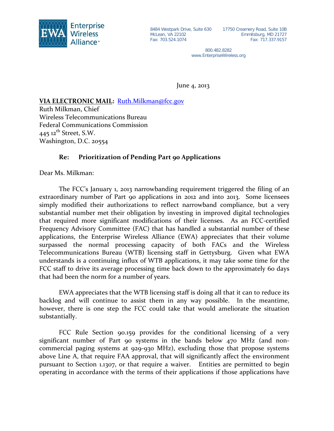

McLean, VA 22102 Fax: 703.524.1074

8484 Westpark Drive, Suite 630 17750 Creamery Road, Suite 10B Emmitsburg, MD 21727 Fax: 717.337.9157

> 800.482.8282 www.EnterpriseWireless.org

June 4, 2013

## **VIA ELECTRONIC MAIL:**  [Ruth.Milkman@fcc.gov](mailto:Ruth.Milkman@fcc.gov)

Ruth Milkman, Chief Wireless Telecommunications Bureau Federal Communications Commission  $445$  12<sup>th</sup> Street, S.W. Washington, D.C. 20554

## **Re: Prioritization of Pending Part 90 Applications**

Dear Ms. Milkman:

The FCC's January 1, 2013 narrowbanding requirement triggered the filing of an extraordinary number of Part 90 applications in 2012 and into 2013. Some licensees simply modified their authorizations to reflect narrowband compliance, but a very substantial number met their obligation by investing in improved digital technologies that required more significant modifications of their licenses. As an FCC-certified Frequency Advisory Committee (FAC) that has handled a substantial number of these applications, the Enterprise Wireless Alliance (EWA) appreciates that their volume surpassed the normal processing capacity of both FACs and the Wireless Telecommunications Bureau (WTB) licensing staff in Gettysburg. Given what EWA understands is a continuing influx of WTB applications, it may take some time for the FCC staff to drive its average processing time back down to the approximately 60 days that had been the norm for a number of years.

EWA appreciates that the WTB licensing staff is doing all that it can to reduce its backlog and will continue to assist them in any way possible. In the meantime, however, there is one step the FCC could take that would ameliorate the situation substantially.

FCC Rule Section 90.159 provides for the conditional licensing of a very significant number of Part 90 systems in the bands below 470 MHz (and noncommercial paging systems at 929-930 MHz), excluding those that propose systems above Line A, that require FAA approval, that will significantly affect the environment pursuant to Section 1.1307, or that require a waiver. Entities are permitted to begin operating in accordance with the terms of their applications if those applications have